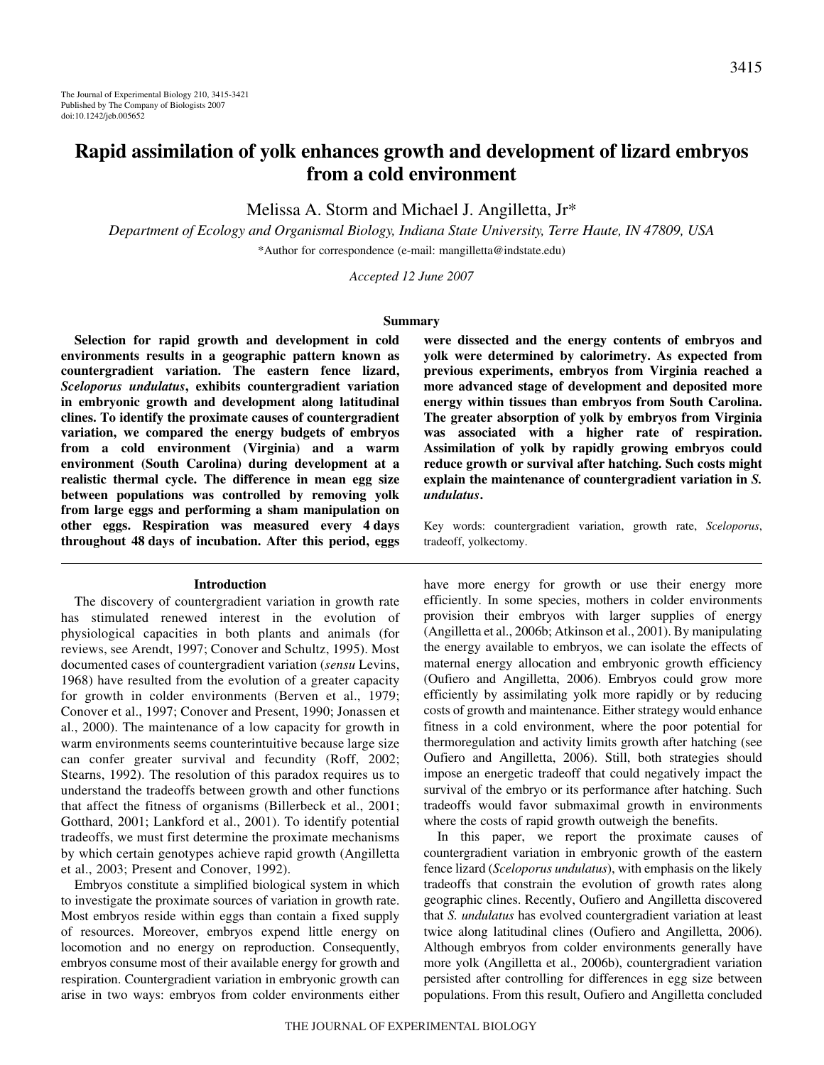# **Rapid assimilation of yolk enhances growth and development of lizard embryos from a cold environment**

Melissa A. Storm and Michael J. Angilletta, Jr\*

*Department of Ecology and Organismal Biology, Indiana State University, Terre Haute, IN 47809, USA* \*Author for correspondence (e-mail: mangilletta@indstate.edu)

*Accepted 12 June 2007*

#### **Summary**

**Selection for rapid growth and development in cold environments results in a geographic pattern known as countergradient variation. The eastern fence lizard,** *Sceloporus undulatus***, exhibits countergradient variation in embryonic growth and development along latitudinal clines. To identify the proximate causes of countergradient variation, we compared the energy budgets of embryos from a cold environment (Virginia) and a warm environment (South Carolina) during development at a realistic thermal cycle. The difference in mean egg size between populations was controlled by removing yolk from large eggs and performing a sham manipulation on** other eggs. Respiration was measured every 4 days **throughout 48·days of incubation. After this period, eggs**

### **Introduction**

The discovery of countergradient variation in growth rate has stimulated renewed interest in the evolution of physiological capacities in both plants and animals (for reviews, see Arendt, 1997; Conover and Schultz, 1995). Most documented cases of countergradient variation (*sensu* Levins, 1968) have resulted from the evolution of a greater capacity for growth in colder environments (Berven et al., 1979; Conover et al., 1997; Conover and Present, 1990; Jonassen et al., 2000). The maintenance of a low capacity for growth in warm environments seems counterintuitive because large size can confer greater survival and fecundity (Roff, 2002; Stearns, 1992). The resolution of this paradox requires us to understand the tradeoffs between growth and other functions that affect the fitness of organisms (Billerbeck et al., 2001; Gotthard, 2001; Lankford et al., 2001). To identify potential tradeoffs, we must first determine the proximate mechanisms by which certain genotypes achieve rapid growth (Angilletta et al., 2003; Present and Conover, 1992).

Embryos constitute a simplified biological system in which to investigate the proximate sources of variation in growth rate. Most embryos reside within eggs than contain a fixed supply of resources. Moreover, embryos expend little energy on locomotion and no energy on reproduction. Consequently, embryos consume most of their available energy for growth and respiration. Countergradient variation in embryonic growth can arise in two ways: embryos from colder environments either

**were dissected and the energy contents of embryos and yolk were determined by calorimetry. As expected from previous experiments, embryos from Virginia reached a more advanced stage of development and deposited more energy within tissues than embryos from South Carolina. The greater absorption of yolk by embryos from Virginia was associated with a higher rate of respiration. Assimilation of yolk by rapidly growing embryos could reduce growth or survival after hatching. Such costs might explain the maintenance of countergradient variation in** *S. undulatus***.**

Key words: countergradient variation, growth rate, *Sceloporus*, tradeoff, yolkectomy.

have more energy for growth or use their energy more efficiently. In some species, mothers in colder environments provision their embryos with larger supplies of energy (Angilletta et al., 2006b; Atkinson et al., 2001). By manipulating the energy available to embryos, we can isolate the effects of maternal energy allocation and embryonic growth efficiency (Oufiero and Angilletta, 2006). Embryos could grow more efficiently by assimilating yolk more rapidly or by reducing costs of growth and maintenance. Either strategy would enhance fitness in a cold environment, where the poor potential for thermoregulation and activity limits growth after hatching (see Oufiero and Angilletta, 2006). Still, both strategies should impose an energetic tradeoff that could negatively impact the survival of the embryo or its performance after hatching. Such tradeoffs would favor submaximal growth in environments where the costs of rapid growth outweigh the benefits.

In this paper, we report the proximate causes of countergradient variation in embryonic growth of the eastern fence lizard (*Sceloporus undulatus*), with emphasis on the likely tradeoffs that constrain the evolution of growth rates along geographic clines. Recently, Oufiero and Angilletta discovered that *S. undulatus* has evolved countergradient variation at least twice along latitudinal clines (Oufiero and Angilletta, 2006). Although embryos from colder environments generally have more yolk (Angilletta et al., 2006b), countergradient variation persisted after controlling for differences in egg size between populations. From this result, Oufiero and Angilletta concluded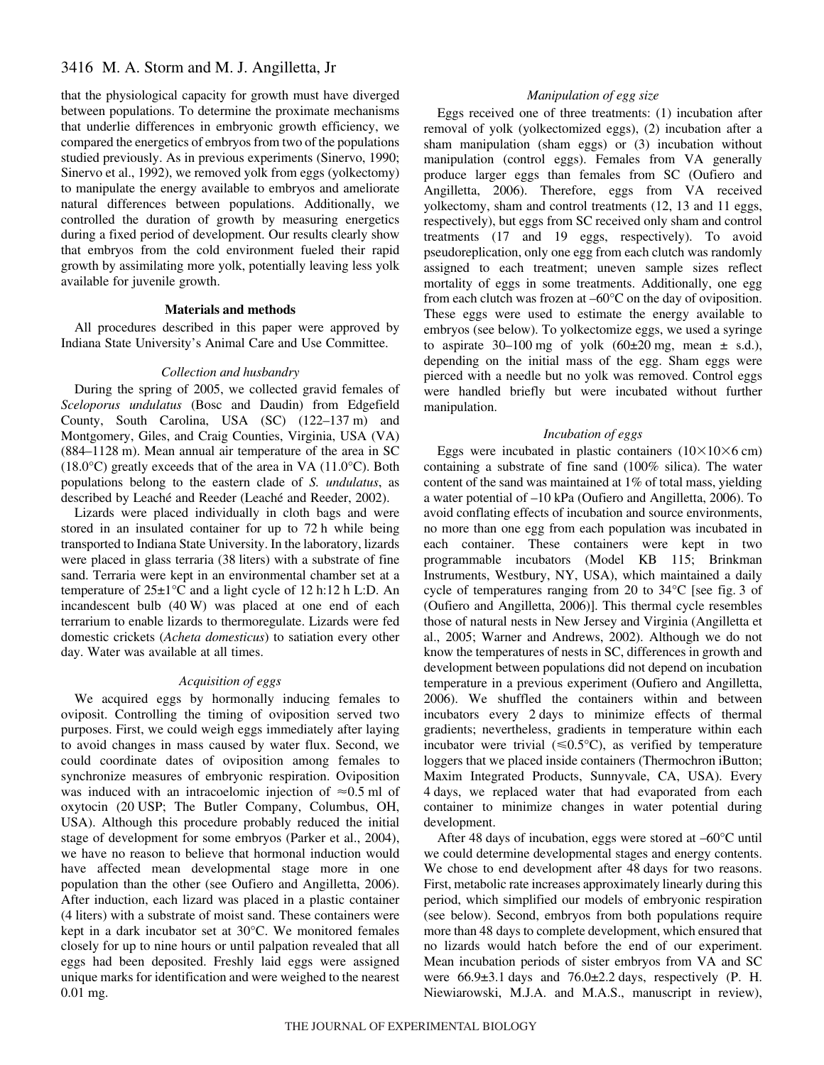# 3416 M. A. Storm and M. J. Angilletta, Jr

that the physiological capacity for growth must have diverged between populations. To determine the proximate mechanisms that underlie differences in embryonic growth efficiency, we compared the energetics of embryos from two of the populations studied previously. As in previous experiments (Sinervo, 1990; Sinervo et al., 1992), we removed yolk from eggs (yolkectomy) to manipulate the energy available to embryos and ameliorate natural differences between populations. Additionally, we controlled the duration of growth by measuring energetics during a fixed period of development. Our results clearly show that embryos from the cold environment fueled their rapid growth by assimilating more yolk, potentially leaving less yolk available for juvenile growth.

# **Materials and methods**

All procedures described in this paper were approved by Indiana State University's Animal Care and Use Committee.

### *Collection and husbandry*

During the spring of 2005, we collected gravid females of *Sceloporus undulatus* (Bosc and Daudin) from Edgefield County, South Carolina, USA (SC) (122-137 m) and Montgomery, Giles, and Craig Counties, Virginia, USA (VA)  $(884-1128 \text{ m})$ . Mean annual air temperature of the area in SC  $(18.0^{\circ}$ C) greatly exceeds that of the area in VA  $(11.0^{\circ}$ C). Both populations belong to the eastern clade of *S. undulatus*, as described by Leaché and Reeder (Leaché and Reeder, 2002).

Lizards were placed individually in cloth bags and were stored in an insulated container for up to 72 h while being transported to Indiana State University. In the laboratory, lizards were placed in glass terraria (38 liters) with a substrate of fine sand. Terraria were kept in an environmental chamber set at a temperature of  $25\pm1\textdegree C$  and a light cycle of 12 h:12 h L:D. An incandescent bulb  $(40 W)$  was placed at one end of each terrarium to enable lizards to thermoregulate. Lizards were fed domestic crickets (*Acheta domesticus*) to satiation every other day. Water was available at all times.

## *Acquisition of eggs*

We acquired eggs by hormonally inducing females to oviposit. Controlling the timing of oviposition served two purposes. First, we could weigh eggs immediately after laying to avoid changes in mass caused by water flux. Second, we could coordinate dates of oviposition among females to synchronize measures of embryonic respiration. Oviposition was induced with an intracoelomic injection of  $\approx 0.5$  ml of oxytocin (20 USP; The Butler Company, Columbus, OH, USA). Although this procedure probably reduced the initial stage of development for some embryos (Parker et al., 2004), we have no reason to believe that hormonal induction would have affected mean developmental stage more in one population than the other (see Oufiero and Angilletta, 2006). After induction, each lizard was placed in a plastic container (4 liters) with a substrate of moist sand. These containers were kept in a dark incubator set at 30°C. We monitored females closely for up to nine hours or until palpation revealed that all eggs had been deposited. Freshly laid eggs were assigned unique marks for identification and were weighed to the nearest 0.01 mg.

# *Manipulation of egg size*

Eggs received one of three treatments: (1) incubation after removal of yolk (yolkectomized eggs), (2) incubation after a sham manipulation (sham eggs) or (3) incubation without manipulation (control eggs). Females from VA generally produce larger eggs than females from SC (Oufiero and Angilletta, 2006). Therefore, eggs from VA received yolkectomy, sham and control treatments (12, 13 and 11 eggs, respectively), but eggs from SC received only sham and control treatments (17 and 19 eggs, respectively). To avoid pseudoreplication, only one egg from each clutch was randomly assigned to each treatment; uneven sample sizes reflect mortality of eggs in some treatments. Additionally, one egg from each clutch was frozen at –60°C on the day of oviposition. These eggs were used to estimate the energy available to embryos (see below). To yolkectomize eggs, we used a syringe to aspirate 30–100 mg of yolk  $(60\pm 20$  mg, mean  $\pm$  s.d.), depending on the initial mass of the egg. Sham eggs were pierced with a needle but no yolk was removed. Control eggs were handled briefly but were incubated without further manipulation.

#### *Incubation of eggs*

Eggs were incubated in plastic containers  $(10 \times 10 \times 6$  cm) containing a substrate of fine sand (100% silica). The water content of the sand was maintained at 1% of total mass, yielding a water potential of  $-10$  kPa (Oufiero and Angilletta, 2006). To avoid conflating effects of incubation and source environments, no more than one egg from each population was incubated in each container. These containers were kept in two programmable incubators (Model KB 115; Brinkman Instruments, Westbury, NY, USA), which maintained a daily cycle of temperatures ranging from 20 to 34°C [see fig. 3 of (Oufiero and Angilletta, 2006)]. This thermal cycle resembles those of natural nests in New Jersey and Virginia (Angilletta et al., 2005; Warner and Andrews, 2002). Although we do not know the temperatures of nests in SC, differences in growth and development between populations did not depend on incubation temperature in a previous experiment (Oufiero and Angilletta, 2006). We shuffled the containers within and between incubators every 2-days to minimize effects of thermal gradients; nevertheless, gradients in temperature within each incubator were trivial  $(\leq 0.5^{\circ}C)$ , as verified by temperature loggers that we placed inside containers (Thermochron iButton; Maxim Integrated Products, Sunnyvale, CA, USA). Every 4 days, we replaced water that had evaporated from each container to minimize changes in water potential during development.

After 48 days of incubation, eggs were stored at  $-60^{\circ}$ C until we could determine developmental stages and energy contents. We chose to end development after 48 days for two reasons. First, metabolic rate increases approximately linearly during this period, which simplified our models of embryonic respiration (see below). Second, embryos from both populations require more than 48 days to complete development, which ensured that no lizards would hatch before the end of our experiment. Mean incubation periods of sister embryos from VA and SC were  $66.9\pm3.1$  days and  $76.0\pm2.2$  days, respectively (P. H. Niewiarowski, M.J.A. and M.A.S., manuscript in review),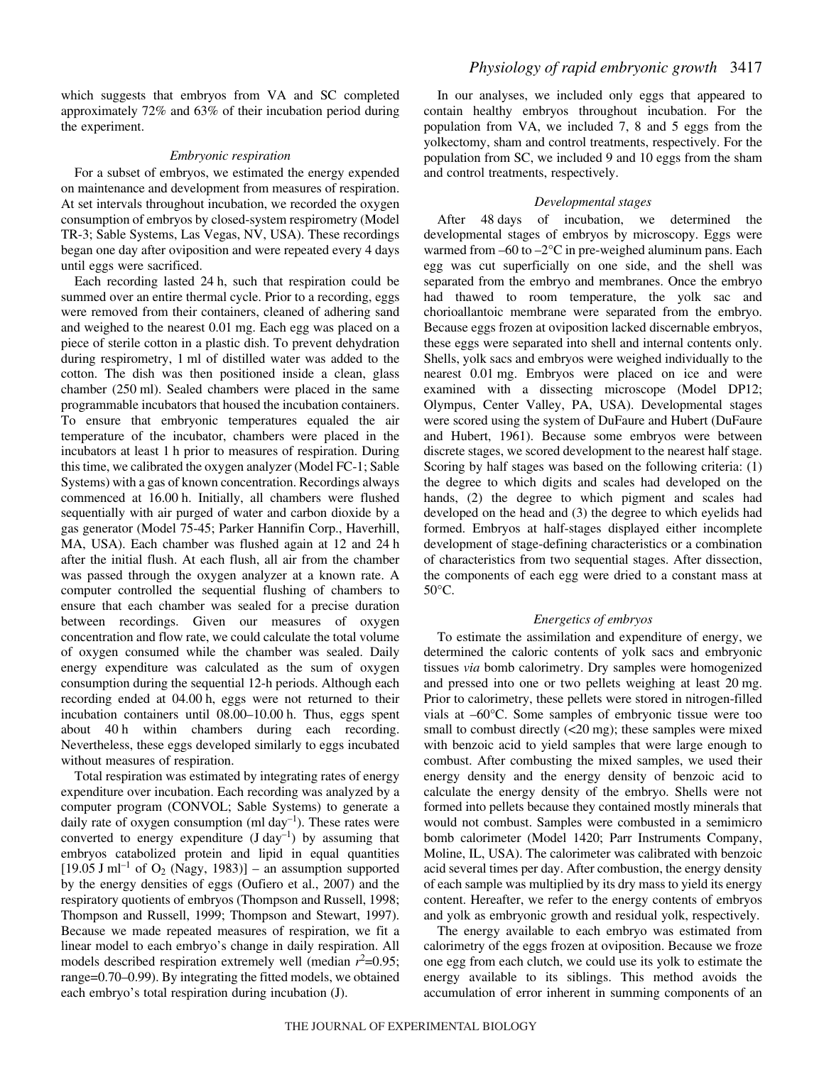which suggests that embryos from VA and SC completed approximately 72% and 63% of their incubation period during the experiment.

### *Embryonic respiration*

For a subset of embryos, we estimated the energy expended on maintenance and development from measures of respiration. At set intervals throughout incubation, we recorded the oxygen consumption of embryos by closed-system respirometry (Model TR-3; Sable Systems, Las Vegas, NV, USA). These recordings began one day after oviposition and were repeated every 4 days until eggs were sacrificed.

Each recording lasted 24 h, such that respiration could be summed over an entire thermal cycle. Prior to a recording, eggs were removed from their containers, cleaned of adhering sand and weighed to the nearest 0.01 mg. Each egg was placed on a piece of sterile cotton in a plastic dish. To prevent dehydration during respirometry, 1 ml of distilled water was added to the cotton. The dish was then positioned inside a clean, glass chamber (250 ml). Sealed chambers were placed in the same programmable incubators that housed the incubation containers. To ensure that embryonic temperatures equaled the air temperature of the incubator, chambers were placed in the incubators at least 1 h prior to measures of respiration. During this time, we calibrated the oxygen analyzer (Model FC-1; Sable Systems) with a gas of known concentration. Recordings always commenced at 16.00 h. Initially, all chambers were flushed sequentially with air purged of water and carbon dioxide by a gas generator (Model 75-45; Parker Hannifin Corp., Haverhill, MA, USA). Each chamber was flushed again at 12 and 24 h after the initial flush. At each flush, all air from the chamber was passed through the oxygen analyzer at a known rate. A computer controlled the sequential flushing of chambers to ensure that each chamber was sealed for a precise duration between recordings. Given our measures of oxygen concentration and flow rate, we could calculate the total volume of oxygen consumed while the chamber was sealed. Daily energy expenditure was calculated as the sum of oxygen consumption during the sequential 12-h periods. Although each recording ended at 04.00 h, eggs were not returned to their incubation containers until  $08.00-10.00$  h. Thus, eggs spent about 40<sup>h</sup> within chambers during each recording. Nevertheless, these eggs developed similarly to eggs incubated without measures of respiration.

Total respiration was estimated by integrating rates of energy expenditure over incubation. Each recording was analyzed by a computer program (CONVOL; Sable Systems) to generate a daily rate of oxygen consumption (ml day<sup>-1</sup>). These rates were converted to energy expenditure  $(J \, day^{-1})$  by assuming that embryos catabolized protein and lipid in equal quantities  $[19.05 \text{ J} \text{ ml}^{-1}$  of O<sub>2</sub> (Nagy, 1983)] – an assumption supported by the energy densities of eggs (Oufiero et al., 2007) and the respiratory quotients of embryos (Thompson and Russell, 1998; Thompson and Russell, 1999; Thompson and Stewart, 1997). Because we made repeated measures of respiration, we fit a linear model to each embryo's change in daily respiration. All models described respiration extremely well (median  $r^2$ =0.95; range=0.70–0.99). By integrating the fitted models, we obtained each embryo's total respiration during incubation (J).

In our analyses, we included only eggs that appeared to contain healthy embryos throughout incubation. For the population from VA, we included 7, 8 and 5 eggs from the yolkectomy, sham and control treatments, respectively. For the population from SC, we included 9 and 10 eggs from the sham and control treatments, respectively.

# *Developmental stages*

After 48 days of incubation, we determined the developmental stages of embryos by microscopy. Eggs were warmed from –60 to –2°C in pre-weighed aluminum pans. Each egg was cut superficially on one side, and the shell was separated from the embryo and membranes. Once the embryo had thawed to room temperature, the yolk sac and chorioallantoic membrane were separated from the embryo. Because eggs frozen at oviposition lacked discernable embryos, these eggs were separated into shell and internal contents only. Shells, yolk sacs and embryos were weighed individually to the nearest 0.01 mg. Embryos were placed on ice and were examined with a dissecting microscope (Model DP12; Olympus, Center Valley, PA, USA). Developmental stages were scored using the system of DuFaure and Hubert (DuFaure and Hubert, 1961). Because some embryos were between discrete stages, we scored development to the nearest half stage. Scoring by half stages was based on the following criteria: (1) the degree to which digits and scales had developed on the hands, (2) the degree to which pigment and scales had developed on the head and (3) the degree to which eyelids had formed. Embryos at half-stages displayed either incomplete development of stage-defining characteristics or a combination of characteristics from two sequential stages. After dissection, the components of each egg were dried to a constant mass at 50°C.

### *Energetics of embryos*

To estimate the assimilation and expenditure of energy, we determined the caloric contents of yolk sacs and embryonic tissues *via* bomb calorimetry. Dry samples were homogenized and pressed into one or two pellets weighing at least 20 mg. Prior to calorimetry, these pellets were stored in nitrogen-filled vials at –60°C. Some samples of embryonic tissue were too small to combust directly  $( $20 \text{ mg}$ ); these samples were mixed$ with benzoic acid to yield samples that were large enough to combust. After combusting the mixed samples, we used their energy density and the energy density of benzoic acid to calculate the energy density of the embryo. Shells were not formed into pellets because they contained mostly minerals that would not combust. Samples were combusted in a semimicro bomb calorimeter (Model 1420; Parr Instruments Company, Moline, IL, USA). The calorimeter was calibrated with benzoic acid several times per day. After combustion, the energy density of each sample was multiplied by its dry mass to yield its energy content. Hereafter, we refer to the energy contents of embryos and yolk as embryonic growth and residual yolk, respectively.

The energy available to each embryo was estimated from calorimetry of the eggs frozen at oviposition. Because we froze one egg from each clutch, we could use its yolk to estimate the energy available to its siblings. This method avoids the accumulation of error inherent in summing components of an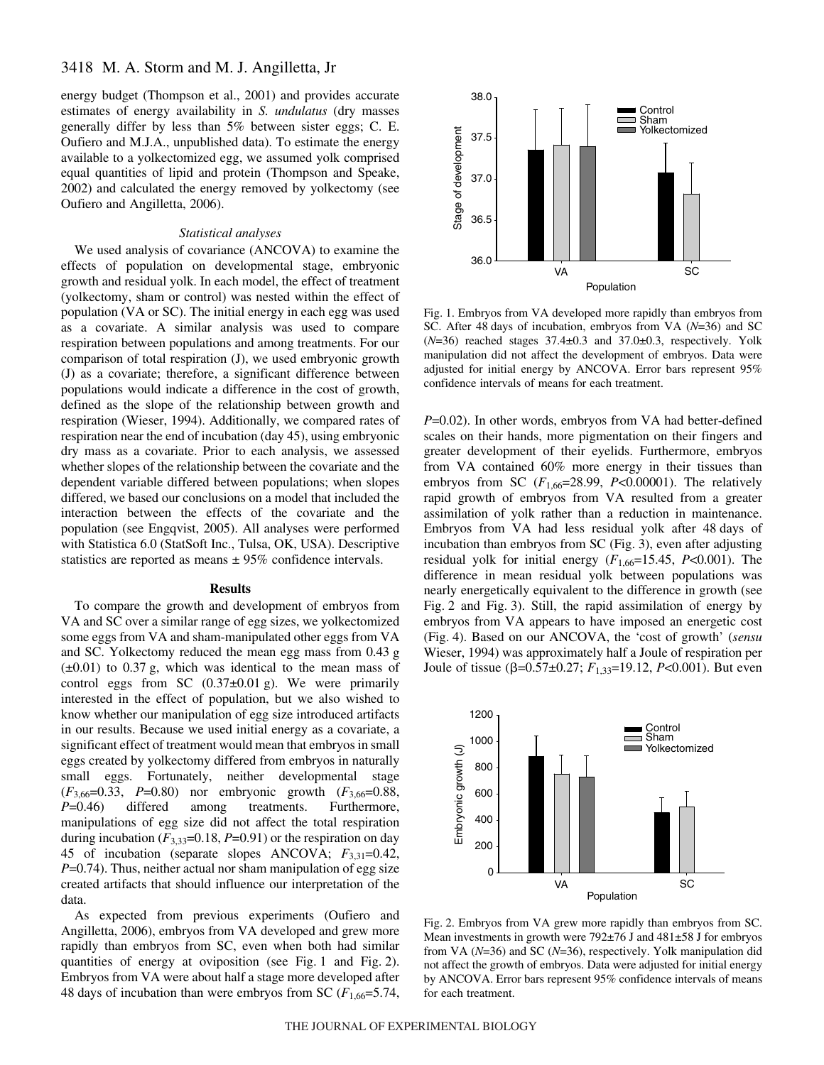energy budget (Thompson et al., 2001) and provides accurate estimates of energy availability in *S. undulatus* (dry masses generally differ by less than 5% between sister eggs; C. E. Oufiero and M.J.A., unpublished data). To estimate the energy available to a yolkectomized egg, we assumed yolk comprised equal quantities of lipid and protein (Thompson and Speake, 2002) and calculated the energy removed by yolkectomy (see Oufiero and Angilletta, 2006).

#### *Statistical analyses*

We used analysis of covariance (ANCOVA) to examine the effects of population on developmental stage, embryonic growth and residual yolk. In each model, the effect of treatment (yolkectomy, sham or control) was nested within the effect of population (VA or SC). The initial energy in each egg was used as a covariate. A similar analysis was used to compare respiration between populations and among treatments. For our comparison of total respiration (J), we used embryonic growth (J) as a covariate; therefore, a significant difference between populations would indicate a difference in the cost of growth, defined as the slope of the relationship between growth and respiration (Wieser, 1994). Additionally, we compared rates of respiration near the end of incubation (day 45), using embryonic dry mass as a covariate. Prior to each analysis, we assessed whether slopes of the relationship between the covariate and the dependent variable differed between populations; when slopes differed, we based our conclusions on a model that included the interaction between the effects of the covariate and the population (see Engqvist, 2005). All analyses were performed with Statistica 6.0 (StatSoft Inc., Tulsa, OK, USA). Descriptive statistics are reported as means  $\pm$  95% confidence intervals.

#### **Results**

To compare the growth and development of embryos from VA and SC over a similar range of egg sizes, we yolkectomized some eggs from VA and sham-manipulated other eggs from VA and SC. Yolkectomy reduced the mean egg mass from 0.43 g  $(\pm 0.01)$  to 0.37 g, which was identical to the mean mass of control eggs from SC  $(0.37\pm0.01)$ g). We were primarily interested in the effect of population, but we also wished to know whether our manipulation of egg size introduced artifacts in our results. Because we used initial energy as a covariate, a significant effect of treatment would mean that embryos in small eggs created by yolkectomy differed from embryos in naturally small eggs. Fortunately, neither developmental stage (*F*3,66=0.33, *P*=0.80) nor embryonic growth (*F*3,66=0.88, *P*=0.46) differed among treatments. Furthermore, manipulations of egg size did not affect the total respiration during incubation  $(F_{3,33}=0.18, P=0.91)$  or the respiration on day 45 of incubation (separate slopes ANCOVA; *F*3,31=0.42, *P*=0.74). Thus, neither actual nor sham manipulation of egg size created artifacts that should influence our interpretation of the data.

As expected from previous experiments (Oufiero and Angilletta, 2006), embryos from VA developed and grew more rapidly than embryos from SC, even when both had similar quantities of energy at oviposition (see Fig. 1 and Fig. 2). Embryos from VA were about half a stage more developed after 48 days of incubation than were embryos from SC  $(F_{1,66}=5.74,$ 



Fig. 1. Embryos from VA developed more rapidly than embryos from SC. After 48 days of incubation, embryos from VA ( $N=36$ ) and SC  $(N=36)$  reached stages  $37.4\pm0.3$  and  $37.0\pm0.3$ , respectively. Yolk manipulation did not affect the development of embryos. Data were adjusted for initial energy by ANCOVA. Error bars represent 95% confidence intervals of means for each treatment.

*P*=0.02). In other words, embryos from VA had better-defined scales on their hands, more pigmentation on their fingers and greater development of their eyelids. Furthermore, embryos from VA contained 60% more energy in their tissues than embryos from SC (*F*1,66=28.99, *P*<0.00001). The relatively rapid growth of embryos from VA resulted from a greater assimilation of yolk rather than a reduction in maintenance. Embryos from VA had less residual yolk after 48 days of incubation than embryos from SC (Fig. 3), even after adjusting residual yolk for initial energy  $(F_{1,66}=15.45, P<0.001)$ . The difference in mean residual yolk between populations was nearly energetically equivalent to the difference in growth (see Fig. 2 and Fig. 3). Still, the rapid assimilation of energy by embryos from VA appears to have imposed an energetic cost (Fig.·4). Based on our ANCOVA, the 'cost of growth' (*sensu* Wieser, 1994) was approximately half a Joule of respiration per Joule of tissue (β=0.57±0.27;  $F_{1,33}=19.12$ ,  $P<0.001$ ). But even



Fig. 2. Embryos from VA grew more rapidly than embryos from SC. Mean investments in growth were  $792\pm76$  J and  $481\pm58$  J for embryos from VA (*N*=36) and SC (*N*=36), respectively. Yolk manipulation did not affect the growth of embryos. Data were adjusted for initial energy by ANCOVA. Error bars represent 95% confidence intervals of means for each treatment.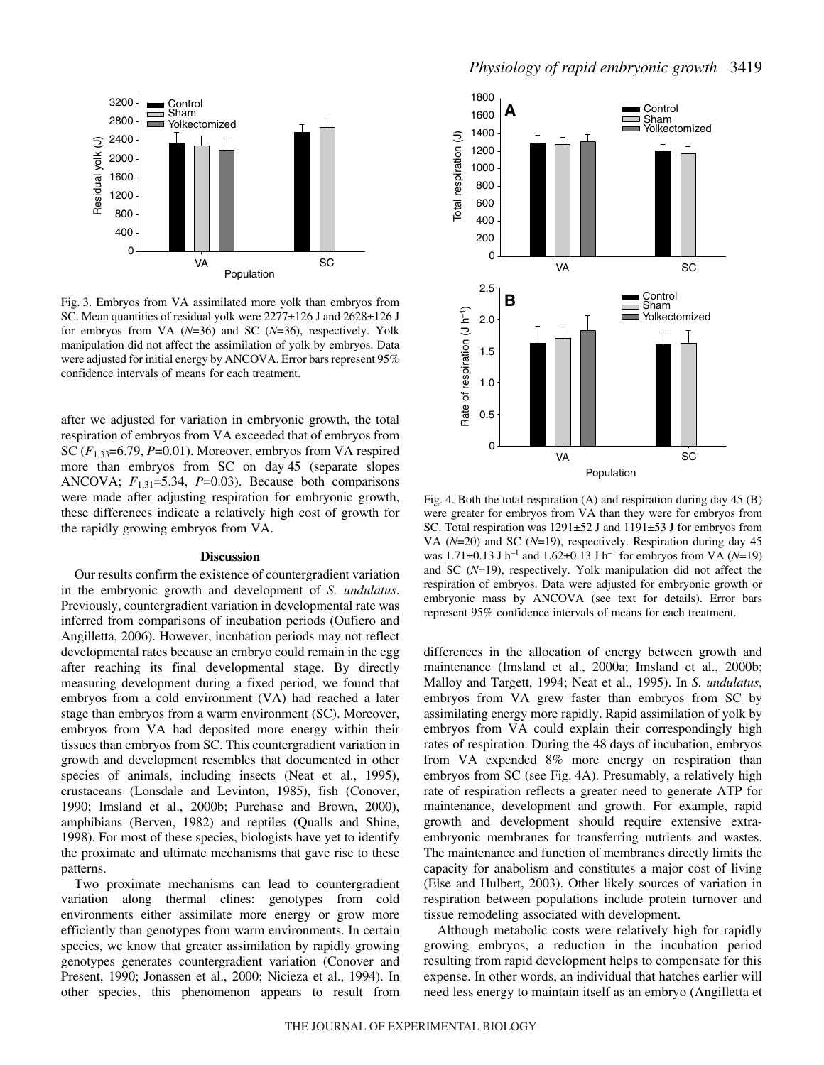

Fig. 3. Embryos from VA assimilated more yolk than embryos from SC. Mean quantities of residual yolk were 2277±126 J and 2628±126 J for embryos from VA (*N*=36) and SC (*N*=36), respectively. Yolk manipulation did not affect the assimilation of yolk by embryos. Data were adjusted for initial energy by ANCOVA. Error bars represent 95% confidence intervals of means for each treatment.

after we adjusted for variation in embryonic growth, the total respiration of embryos from VA exceeded that of embryos from SC (*F*1,33=6.79, *P*=0.01). Moreover, embryos from VA respired more than embryos from SC on day 45 (separate slopes ANCOVA; *F*1,31=5.34, *P*=0.03). Because both comparisons were made after adjusting respiration for embryonic growth, these differences indicate a relatively high cost of growth for the rapidly growing embryos from VA.

#### **Discussion**

Our results confirm the existence of countergradient variation in the embryonic growth and development of *S. undulatus*. Previously, countergradient variation in developmental rate was inferred from comparisons of incubation periods (Oufiero and Angilletta, 2006). However, incubation periods may not reflect developmental rates because an embryo could remain in the egg after reaching its final developmental stage. By directly measuring development during a fixed period, we found that embryos from a cold environment (VA) had reached a later stage than embryos from a warm environment (SC). Moreover, embryos from VA had deposited more energy within their tissues than embryos from SC. This countergradient variation in growth and development resembles that documented in other species of animals, including insects (Neat et al., 1995), crustaceans (Lonsdale and Levinton, 1985), fish (Conover, 1990; Imsland et al., 2000b; Purchase and Brown, 2000), amphibians (Berven, 1982) and reptiles (Qualls and Shine, 1998). For most of these species, biologists have yet to identify the proximate and ultimate mechanisms that gave rise to these patterns.

Two proximate mechanisms can lead to countergradient variation along thermal clines: genotypes from cold environments either assimilate more energy or grow more efficiently than genotypes from warm environments. In certain species, we know that greater assimilation by rapidly growing genotypes generates countergradient variation (Conover and Present, 1990; Jonassen et al., 2000; Nicieza et al., 1994). In other species, this phenomenon appears to result from



Fig. 4. Both the total respiration (A) and respiration during day 45 (B) were greater for embryos from VA than they were for embryos from SC. Total respiration was  $1291\pm52$  J and  $1191\pm53$  J for embryos from VA (*N*=20) and SC (*N*=19), respectively. Respiration during day 45 was  $1.71\pm0.13$  J h<sup>-1</sup> and  $1.62\pm0.13$  J h<sup>-1</sup> for embryos from VA (*N*=19) and SC (*N*=19), respectively. Yolk manipulation did not affect the respiration of embryos. Data were adjusted for embryonic growth or embryonic mass by ANCOVA (see text for details). Error bars

differences in the allocation of energy between growth and maintenance (Imsland et al., 2000a; Imsland et al., 2000b; Malloy and Targett, 1994; Neat et al., 1995). In *S. undulatus*, embryos from VA grew faster than embryos from SC by assimilating energy more rapidly. Rapid assimilation of yolk by embryos from VA could explain their correspondingly high rates of respiration. During the 48 days of incubation, embryos from VA expended 8% more energy on respiration than embryos from SC (see Fig. 4A). Presumably, a relatively high rate of respiration reflects a greater need to generate ATP for maintenance, development and growth. For example, rapid growth and development should require extensive extraembryonic membranes for transferring nutrients and wastes. The maintenance and function of membranes directly limits the capacity for anabolism and constitutes a major cost of living (Else and Hulbert, 2003). Other likely sources of variation in respiration between populations include protein turnover and tissue remodeling associated with development.

Although metabolic costs were relatively high for rapidly growing embryos, a reduction in the incubation period resulting from rapid development helps to compensate for this expense. In other words, an individual that hatches earlier will need less energy to maintain itself as an embryo (Angilletta et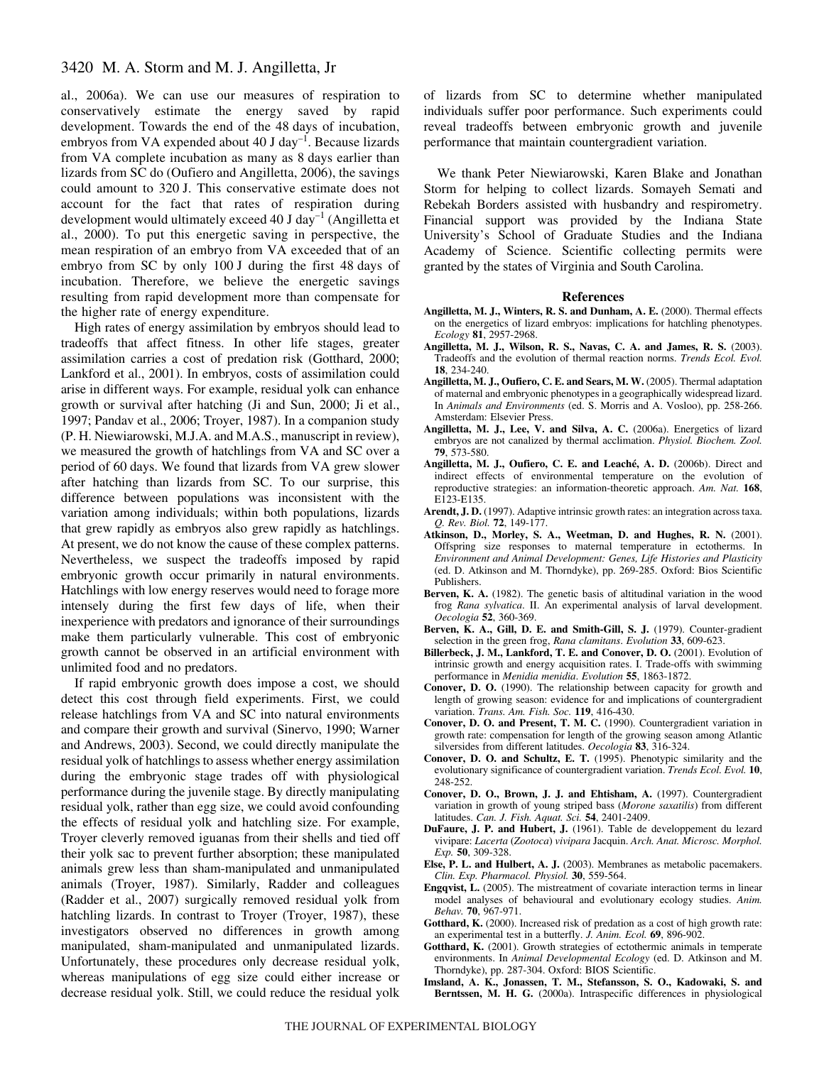# 3420 M. A. Storm and M. J. Angilletta, Jr

al., 2006a). We can use our measures of respiration to conservatively estimate the energy saved by rapid development. Towards the end of the 48 days of incubation, embryos from VA expended about  $40 \text{ J day}^{-1}$ . Because lizards from VA complete incubation as many as 8 days earlier than lizards from SC do (Oufiero and Angilletta, 2006), the savings could amount to 320 J. This conservative estimate does not account for the fact that rates of respiration during development would ultimately exceed 40 J day<sup>-1</sup> (Angilletta et al., 2000). To put this energetic saving in perspective, the mean respiration of an embryo from VA exceeded that of an embryo from SC by only  $100J$  during the first 48 days of incubation. Therefore, we believe the energetic savings resulting from rapid development more than compensate for the higher rate of energy expenditure.

High rates of energy assimilation by embryos should lead to tradeoffs that affect fitness. In other life stages, greater assimilation carries a cost of predation risk (Gotthard, 2000; Lankford et al., 2001). In embryos, costs of assimilation could arise in different ways. For example, residual yolk can enhance growth or survival after hatching (Ji and Sun, 2000; Ji et al., 1997; Pandav et al., 2006; Troyer, 1987). In a companion study (P. H. Niewiarowski, M.J.A. and M.A.S., manuscript in review), we measured the growth of hatchlings from VA and SC over a period of 60 days. We found that lizards from VA grew slower after hatching than lizards from SC. To our surprise, this difference between populations was inconsistent with the variation among individuals; within both populations, lizards that grew rapidly as embryos also grew rapidly as hatchlings. At present, we do not know the cause of these complex patterns. Nevertheless, we suspect the tradeoffs imposed by rapid embryonic growth occur primarily in natural environments. Hatchlings with low energy reserves would need to forage more intensely during the first few days of life, when their inexperience with predators and ignorance of their surroundings make them particularly vulnerable. This cost of embryonic growth cannot be observed in an artificial environment with unlimited food and no predators.

If rapid embryonic growth does impose a cost, we should detect this cost through field experiments. First, we could release hatchlings from VA and SC into natural environments and compare their growth and survival (Sinervo, 1990; Warner and Andrews, 2003). Second, we could directly manipulate the residual yolk of hatchlings to assess whether energy assimilation during the embryonic stage trades off with physiological performance during the juvenile stage. By directly manipulating residual yolk, rather than egg size, we could avoid confounding the effects of residual yolk and hatchling size. For example, Troyer cleverly removed iguanas from their shells and tied off their yolk sac to prevent further absorption; these manipulated animals grew less than sham-manipulated and unmanipulated animals (Troyer, 1987). Similarly, Radder and colleagues (Radder et al., 2007) surgically removed residual yolk from hatchling lizards. In contrast to Troyer (Troyer, 1987), these investigators observed no differences in growth among manipulated, sham-manipulated and unmanipulated lizards. Unfortunately, these procedures only decrease residual yolk, whereas manipulations of egg size could either increase or decrease residual yolk. Still, we could reduce the residual yolk

of lizards from SC to determine whether manipulated individuals suffer poor performance. Such experiments could reveal tradeoffs between embryonic growth and juvenile performance that maintain countergradient variation.

We thank Peter Niewiarowski, Karen Blake and Jonathan Storm for helping to collect lizards. Somayeh Semati and Rebekah Borders assisted with husbandry and respirometry. Financial support was provided by the Indiana State University's School of Graduate Studies and the Indiana Academy of Science. Scientific collecting permits were granted by the states of Virginia and South Carolina.

#### **References**

- **Angilletta, M. J., Winters, R. S. and Dunham, A. E.** (2000). Thermal effects on the energetics of lizard embryos: implications for hatchling phenotypes. *Ecology* **81**, 2957-2968.
- **Angilletta, M. J., Wilson, R. S., Navas, C. A. and James, R. S.** (2003). Tradeoffs and the evolution of thermal reaction norms. *Trends Ecol. Evol.* **18**, 234-240.
- **Angilletta, M. J., Oufiero, C. E. and Sears, M. W.** (2005). Thermal adaptation of maternal and embryonic phenotypes in a geographically widespread lizard. In *Animals and Environments* (ed. S. Morris and A. Vosloo), pp. 258-266. Amsterdam: Elsevier Press.
- **Angilletta, M. J., Lee, V. and Silva, A. C.** (2006a). Energetics of lizard embryos are not canalized by thermal acclimation. *Physiol. Biochem. Zool.* **79**, 573-580.
- **Angilletta, M. J., Oufiero, C. E. and Leaché, A. D.** (2006b). Direct and indirect effects of environmental temperature on the evolution of reproductive strategies: an information-theoretic approach. *Am. Nat.* **168**, E123-E135.
- **Arendt, J. D.** (1997). Adaptive intrinsic growth rates: an integration across taxa. *Q. Rev. Biol.* **72**, 149-177.
- **Atkinson, D., Morley, S. A., Weetman, D. and Hughes, R. N.** (2001). Offspring size responses to maternal temperature in ectotherms. In *Environment and Animal Development: Genes, Life Histories and Plasticity* (ed. D. Atkinson and M. Thorndyke), pp. 269-285. Oxford: Bios Scientific Publishers.
- **Berven, K. A.** (1982). The genetic basis of altitudinal variation in the wood frog *Rana sylvatica*. II. An experimental analysis of larval development. *Oecologia* **52**, 360-369.
- **Berven, K. A., Gill, D. E. and Smith-Gill, S. J.** (1979). Counter-gradient selection in the green frog, *Rana clamitans*. *Evolution* **33**, 609-623.
- **Billerbeck, J. M., Lankford, T. E. and Conover, D. O.** (2001). Evolution of intrinsic growth and energy acquisition rates. I. Trade-offs with swimming performance in *Menidia menidia*. *Evolution* **55**, 1863-1872.
- **Conover, D. O.** (1990). The relationship between capacity for growth and length of growing season: evidence for and implications of countergradient variation. *Trans. Am. Fish. Soc.* **119**, 416-430.
- **Conover, D. O. and Present, T. M. C.** (1990). Countergradient variation in growth rate: compensation for length of the growing season among Atlantic silversides from different latitudes. *Oecologia* **83**, 316-324.
- **Conover, D. O. and Schultz, E. T.** (1995). Phenotypic similarity and the evolutionary significance of countergradient variation. *Trends Ecol. Evol.* **10**, 248-252.
- **Conover, D. O., Brown, J. J. and Ehtisham, A.** (1997). Countergradient variation in growth of young striped bass (*Morone saxatilis*) from different latitudes. *Can. J. Fish. Aquat. Sci.* **54**, 2401-2409.
- **DuFaure, J. P. and Hubert, J.** (1961). Table de developpement du lezard vivipare: *Lacerta* (*Zootoca*) *vivipara* Jacquin. *Arch. Anat. Microsc. Morphol. Exp.* **50**, 309-328.
- **Else, P. L. and Hulbert, A. J.** (2003). Membranes as metabolic pacemakers. *Clin. Exp. Pharmacol. Physiol.* **30**, 559-564.
- **Engqvist, L.** (2005). The mistreatment of covariate interaction terms in linear model analyses of behavioural and evolutionary ecology studies. *Anim. Behav.* **70**, 967-971.
- **Gotthard, K.** (2000). Increased risk of predation as a cost of high growth rate: an experimental test in a butterfly. *J. Anim. Ecol.* **69**, 896-902.
- **Gotthard, K.** (2001). Growth strategies of ectothermic animals in temperate environments. In *Animal Developmental Ecology* (ed. D. Atkinson and M. Thorndyke), pp. 287-304. Oxford: BIOS Scientific.
- **Imsland, A. K., Jonassen, T. M., Stefansson, S. O., Kadowaki, S. and Berntssen, M. H. G.** (2000a). Intraspecific differences in physiological